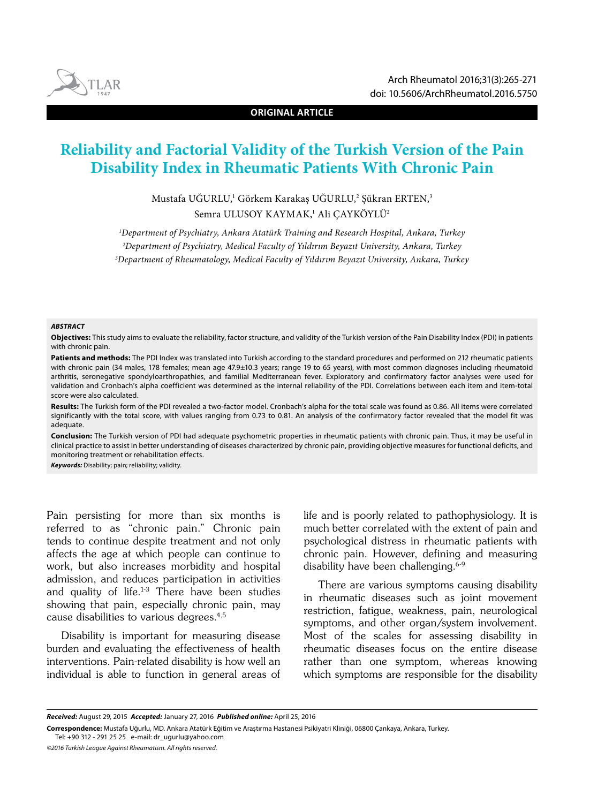

**ORIGINAL ARTICLE**

# **Reliability and Factorial Validity of the Turkish Version of the Pain Disability Index in Rheumatic Patients With Chronic Pain**

Mustafa UĞURLU,<sup>1</sup> Görkem Karakaş UĞURLU,<sup>2</sup> Şükran ERTEN,<sup>3</sup> Semra ULUSOY KAYMAK,<sup>1</sup> Ali ÇAYKÖYLÜ<sup>2</sup>

*1 Department of Psychiatry, Ankara Atatürk Training and Research Hospital, Ankara, Turkey 2 Department of Psychiatry, Medical Faculty of Yıldırım Beyazıt University, Ankara, Turkey 3 Department of Rheumatology, Medical Faculty of Yıldırım Beyazıt University, Ankara, Turkey*

#### *ABSTRACT*

**Objectives:** This study aims to evaluate the reliability, factor structure, and validity of the Turkish version of the Pain Disability Index (PDI) in patients with chronic pain.

**Patients and methods:** The PDI Index was translated into Turkish according to the standard procedures and performed on 212 rheumatic patients with chronic pain (34 males, 178 females; mean age 47.9±10.3 years; range 19 to 65 years), with most common diagnoses including rheumatoid arthritis, seronegative spondyloarthropathies, and familial Mediterranean fever. Exploratory and confirmatory factor analyses were used for validation and Cronbach's alpha coefficient was determined as the internal reliability of the PDI. Correlations between each item and item-total score were also calculated.

**Results:** The Turkish form of the PDI revealed a two-factor model. Cronbach's alpha for the total scale was found as 0.86. All items were correlated significantly with the total score, with values ranging from 0.73 to 0.81. An analysis of the confirmatory factor revealed that the model fit was adequate.

**Conclusion:** The Turkish version of PDI had adequate psychometric properties in rheumatic patients with chronic pain. Thus, it may be useful in clinical practice to assist in better understanding of diseases characterized by chronic pain, providing objective measures for functional deficits, and monitoring treatment or rehabilitation effects.

*Keywords:* Disability; pain; reliability; validity.

Pain persisting for more than six months is referred to as "chronic pain." Chronic pain tends to continue despite treatment and not only affects the age at which people can continue to work, but also increases morbidity and hospital admission, and reduces participation in activities and quality of life. $1-3$  There have been studies showing that pain, especially chronic pain, may cause disabilities to various degrees.4,5

Disability is important for measuring disease burden and evaluating the effectiveness of health interventions. Pain-related disability is how well an individual is able to function in general areas of life and is poorly related to pathophysiology. It is much better correlated with the extent of pain and psychological distress in rheumatic patients with chronic pain. However, defining and measuring disability have been challenging.<sup>6-9</sup>

There are various symptoms causing disability in rheumatic diseases such as joint movement restriction, fatigue, weakness, pain, neurological symptoms, and other organ/system involvement. Most of the scales for assessing disability in rheumatic diseases focus on the entire disease rather than one symptom, whereas knowing which symptoms are responsible for the disability

*Received:* August 29, 2015 *Accepted:* January 27, 2016 *Published online:* April 25, 2016

**Correspondence:** Mustafa Uğurlu, MD. Ankara Atatürk Eğitim ve Araştırma Hastanesi Psikiyatri Kliniği, 06800 Çankaya, Ankara, Turkey. Tel: +90 312 - 291 25 25 e-mail: dr\_ugurlu@yahoo.com

*<sup>©2016</sup> Turkish League Against Rheumatism. All rights reserved.*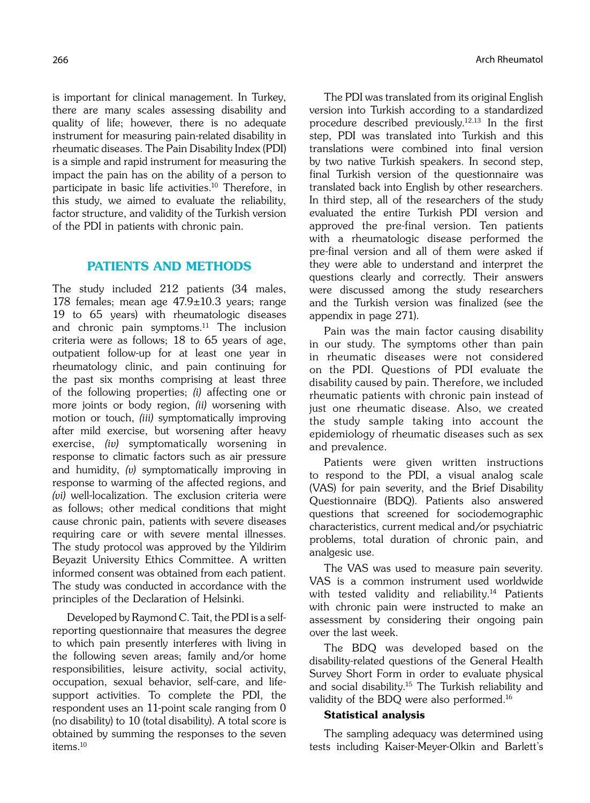is important for clinical management. In Turkey, there are many scales assessing disability and quality of life; however, there is no adequate instrument for measuring pain-related disability in rheumatic diseases. The Pain Disability Index (PDI) is a simple and rapid instrument for measuring the impact the pain has on the ability of a person to participate in basic life activities.10 Therefore, in this study, we aimed to evaluate the reliability, factor structure, and validity of the Turkish version of the PDI in patients with chronic pain.

### PATIENTS AND METHODS

The study included 212 patients (34 males, 178 females; mean age  $47.9 \pm 10.3$  years; range 19 to 65 years) with rheumatologic diseases and chronic pain symptoms. $11$  The inclusion criteria were as follows; 18 to 65 years of age, outpatient follow-up for at least one year in rheumatology clinic, and pain continuing for the past six months comprising at least three of the following properties; (i) affecting one or more joints or body region, (ii) worsening with motion or touch, (iii) symptomatically improving after mild exercise, but worsening after heavy exercise, (iv) symptomatically worsening in response to climatic factors such as air pressure and humidity,  $(v)$  symptomatically improving in response to warming of the affected regions, and (vi) well-localization. The exclusion criteria were as follows; other medical conditions that might cause chronic pain, patients with severe diseases requiring care or with severe mental illnesses. The study protocol was approved by the Yildirim Beyazit University Ethics Committee. A written informed consent was obtained from each patient. The study was conducted in accordance with the principles of the Declaration of Helsinki.

Developed by Raymond C. Tait, the PDI is a selfreporting questionnaire that measures the degree to which pain presently interferes with living in the following seven areas; family and/or home responsibilities, leisure activity, social activity, occupation, sexual behavior, self-care, and lifesupport activities. To complete the PDI, the respondent uses an 11-point scale ranging from 0 (no disability) to 10 (total disability). A total score is obtained by summing the responses to the seven items.10

The PDI was translated from its original English version into Turkish according to a standardized procedure described previously.12,13 In the first step, PDI was translated into Turkish and this translations were combined into final version by two native Turkish speakers. In second step, final Turkish version of the questionnaire was translated back into English by other researchers. In third step, all of the researchers of the study evaluated the entire Turkish PDI version and approved the pre-final version. Ten patients with a rheumatologic disease performed the pre-final version and all of them were asked if they were able to understand and interpret the questions clearly and correctly. Their answers were discussed among the study researchers and the Turkish version was finalized (see the appendix in page 271).

Pain was the main factor causing disability in our study. The symptoms other than pain in rheumatic diseases were not considered on the PDI. Questions of PDI evaluate the disability caused by pain. Therefore, we included rheumatic patients with chronic pain instead of just one rheumatic disease. Also, we created the study sample taking into account the epidemiology of rheumatic diseases such as sex and prevalence.

Patients were given written instructions to respond to the PDI, a visual analog scale (VAS) for pain severity, and the Brief Disability Questionnaire (BDQ). Patients also answered questions that screened for sociodemographic characteristics, current medical and/or psychiatric problems, total duration of chronic pain, and analgesic use.

The VAS was used to measure pain severity. VAS is a common instrument used worldwide with tested validity and reliability.<sup>14</sup> Patients with chronic pain were instructed to make an assessment by considering their ongoing pain over the last week.

The BDQ was developed based on the disability-related questions of the General Health Survey Short Form in order to evaluate physical and social disability.15 The Turkish reliability and validity of the BDQ were also performed.16

#### Statistical analysis

The sampling adequacy was determined using tests including Kaiser-Meyer-Olkin and Barlett's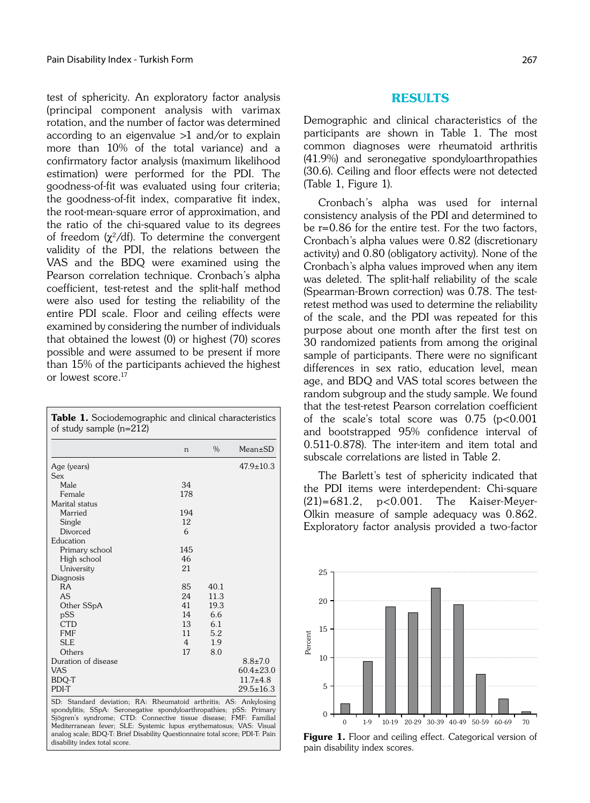test of sphericity. An exploratory factor analysis (principal component analysis with varimax rotation, and the number of factor was determined according to an eigenvalue >1 and/or to explain more than 10% of the total variance) and a confirmatory factor analysis (maximum likelihood estimation) were performed for the PDI. The goodness-of-fit was evaluated using four criteria; the goodness-of-fit index, comparative fit index, the root-mean-square error of approximation, and the ratio of the chi-squared value to its degrees of freedom  $(y^2/df)$ . To determine the convergent validity of the PDI, the relations between the VAS and the BDQ were examined using the Pearson correlation technique. Cronbach's alpha coefficient, test-retest and the split-half method were also used for testing the reliability of the entire PDI scale. Floor and ceiling effects were examined by considering the number of individuals that obtained the lowest (0) or highest (70) scores possible and were assumed to be present if more than 15% of the participants achieved the highest or lowest score.17

| <b>Table 1.</b> Sociodemographic and clinical characteristics<br>of study sample $(n=212)$ |                |               |                 |  |  |  |  |
|--------------------------------------------------------------------------------------------|----------------|---------------|-----------------|--|--|--|--|
|                                                                                            | n              | $\frac{0}{0}$ | $Mean \pm SD$   |  |  |  |  |
| Age (years)                                                                                |                |               | $47.9 \pm 10.3$ |  |  |  |  |
| <b>Sex</b>                                                                                 |                |               |                 |  |  |  |  |
| Male                                                                                       | 34             |               |                 |  |  |  |  |
| Female                                                                                     | 178            |               |                 |  |  |  |  |
| Marital status                                                                             |                |               |                 |  |  |  |  |
| Married                                                                                    | 194            |               |                 |  |  |  |  |
| Single                                                                                     | 12             |               |                 |  |  |  |  |
| Divorced                                                                                   | 6              |               |                 |  |  |  |  |
| Education                                                                                  |                |               |                 |  |  |  |  |
| Primary school                                                                             | 145            |               |                 |  |  |  |  |
| High school                                                                                | 46             |               |                 |  |  |  |  |
| University                                                                                 | 21             |               |                 |  |  |  |  |
| Diagnosis                                                                                  |                |               |                 |  |  |  |  |
| <b>RA</b>                                                                                  | 85             | 40.1          |                 |  |  |  |  |
| AS                                                                                         | 24             | 11.3          |                 |  |  |  |  |
| Other SSpA                                                                                 | 41             | 19.3          |                 |  |  |  |  |
| pSS                                                                                        | 14             | 6.6           |                 |  |  |  |  |
| <b>CTD</b>                                                                                 | 13             | 6.1           |                 |  |  |  |  |
| <b>FMF</b>                                                                                 | 11             | 5.2           |                 |  |  |  |  |
| <b>SLE</b>                                                                                 | $\overline{4}$ | 1.9           |                 |  |  |  |  |
| Others                                                                                     | 17             | 8.0           |                 |  |  |  |  |
| Duration of disease                                                                        |                |               | $8.8 + 7.0$     |  |  |  |  |
| VAS                                                                                        |                |               | $60.4 \pm 23.0$ |  |  |  |  |
| BDQ-T                                                                                      |                |               | $11.7 + 4.8$    |  |  |  |  |
| PDI-T                                                                                      |                |               | $29.5 \pm 16.3$ |  |  |  |  |

SD: Standard deviation; RA: Rheumatoid arthritis; AS: Ankylosing spondylitis; SSpA: Seronegative spondyloarthropathies; pSS: Primary Sjögren's syndrome; CTD: Connective tissue disease; FMF: Familial Mediterranean fever; SLE: Systemic lupus erythematosus; VAS: Visual analog scale; BDQ-T: Brief Disability Questionnaire total score; PDI-T: Pain disability index total score.

#### RESULTS

Demographic and clinical characteristics of the participants are shown in Table 1. The most common diagnoses were rheumatoid arthritis (41.9%) and seronegative spondyloarthropathies (30.6). Ceiling and floor effects were not detected (Table 1, Figure 1).

Cronbach's alpha was used for internal consistency analysis of the PDI and determined to be r=0.86 for the entire test. For the two factors, Cronbach's alpha values were 0.82 (discretionary activity) and 0.80 (obligatory activity). None of the Cronbach's alpha values improved when any item was deleted. The split-half reliability of the scale (Spearman-Brown correction) was 0.78. The testretest method was used to determine the reliability of the scale, and the PDI was repeated for this purpose about one month after the first test on 30 randomized patients from among the original sample of participants. There were no significant differences in sex ratio, education level, mean age, and BDQ and VAS total scores between the random subgroup and the study sample. We found that the test-retest Pearson correlation coefficient of the scale's total score was  $0.75$  ( $p<0.001$ ) and bootstrapped 95% confidence interval of 0.511-0.878). The inter-item and item total and subscale correlations are listed in Table 2.

The Barlett's test of sphericity indicated that the PDI items were interdependent: Chi-square (21)=681.2, p<0.001. The Kaiser-Meyer-Olkin measure of sample adequacy was 0.862. Exploratory factor analysis provided a two-factor



Figure 1. Floor and ceiling effect. Categorical version of pain disability index scores.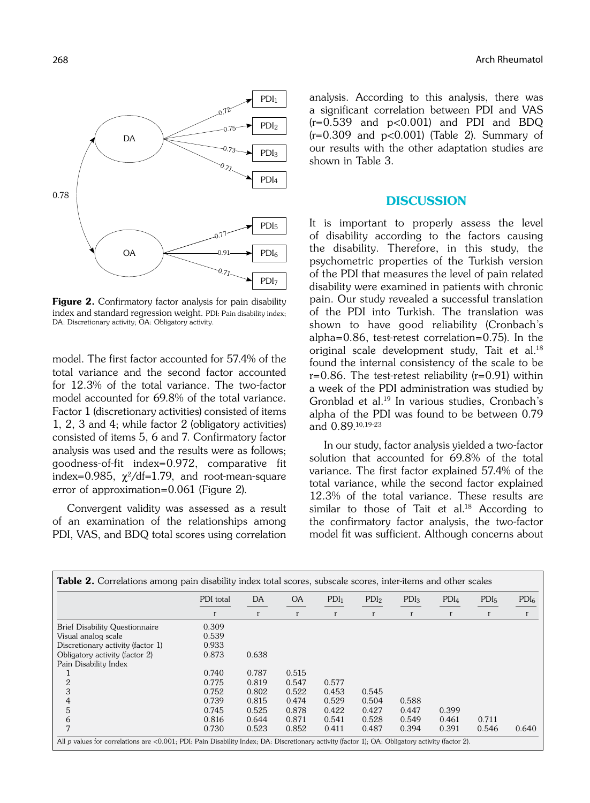

Figure 2. Confirmatory factor analysis for pain disability index and standard regression weight. PDI: Pain disability index; DA: Discretionary activity; OA: Obligatory activity.

model. The first factor accounted for 57.4% of the total variance and the second factor accounted for 12.3% of the total variance. The two-factor model accounted for 69.8% of the total variance. Factor 1 (discretionary activities) consisted of items 1, 2, 3 and 4; while factor 2 (obligatory activities) consisted of items 5, 6 and 7. Confirmatory factor analysis was used and the results were as follows; goodness-of-fit index=0.972, comparative fit index=0.985,  $\chi^2$ /df=1.79, and root-mean-square error of approximation=0.061 (Figure 2).

Convergent validity was assessed as a result of an examination of the relationships among PDI, VAS, and BDQ total scores using correlation analysis. According to this analysis, there was a significant correlation between PDI and VAS  $(r=0.539$  and  $p<0.001$  and PDI and BDQ  $(r=0.309$  and  $p<0.001$ ) (Table 2). Summary of our results with the other adaptation studies are shown in Table 3.

#### **DISCUSSION**

It is important to properly assess the level of disability according to the factors causing the disability. Therefore, in this study, the psychometric properties of the Turkish version of the PDI that measures the level of pain related disability were examined in patients with chronic pain. Our study revealed a successful translation of the PDI into Turkish. The translation was shown to have good reliability (Cronbach's alpha=0.86, test-retest correlation=0.75). In the original scale development study, Tait et al.18 found the internal consistency of the scale to be  $r=0.86$ . The test-retest reliability ( $r=0.91$ ) within a week of the PDI administration was studied by Gronblad et al.19 In various studies, Cronbach's alpha of the PDI was found to be between 0.79 and 0.89.10,19-23

In our study, factor analysis yielded a two-factor solution that accounted for 69.8% of the total variance. The first factor explained 57.4% of the total variance, while the second factor explained 12.3% of the total variance. These results are similar to those of Tait et al.<sup>18</sup> According to the confirmatory factor analysis, the two-factor model fit was sufficient. Although concerns about

|                                   | PDI total | DA    | <b>OA</b> | PDI <sub>1</sub> | PDI <sub>2</sub> | PDI <sub>3</sub> | PDI <sub>4</sub> | PDI <sub>5</sub> | PDI <sub>6</sub><br>r |
|-----------------------------------|-----------|-------|-----------|------------------|------------------|------------------|------------------|------------------|-----------------------|
|                                   |           |       |           |                  |                  |                  |                  |                  |                       |
| Brief Disability Questionnaire    | 0.309     |       |           |                  |                  |                  |                  |                  |                       |
| Visual analog scale               | 0.539     |       |           |                  |                  |                  |                  |                  |                       |
| Discretionary activity (factor 1) | 0.933     |       |           |                  |                  |                  |                  |                  |                       |
| Obligatory activity (factor 2)    | 0.873     | 0.638 |           |                  |                  |                  |                  |                  |                       |
| Pain Disability Index             |           |       |           |                  |                  |                  |                  |                  |                       |
|                                   | 0.740     | 0.787 | 0.515     |                  |                  |                  |                  |                  |                       |
| $\overline{2}$                    | 0.775     | 0.819 | 0.547     | 0.577            |                  |                  |                  |                  |                       |
| 3                                 | 0.752     | 0.802 | 0.522     | 0.453            | 0.545            |                  |                  |                  |                       |
| 4                                 | 0.739     | 0.815 | 0.474     | 0.529            | 0.504            | 0.588            |                  |                  |                       |
| 5                                 | 0.745     | 0.525 | 0.878     | 0.422            | 0.427            | 0.447            | 0.399            |                  |                       |
| 6                                 | 0.816     | 0.644 | 0.871     | 0.541            | 0.528            | 0.549            | 0.461            | 0.711            |                       |
| 7                                 | 0.730     | 0.523 | 0.852     | 0.411            | 0.487            | 0.394            | 0.391            | 0.546            | 0.640                 |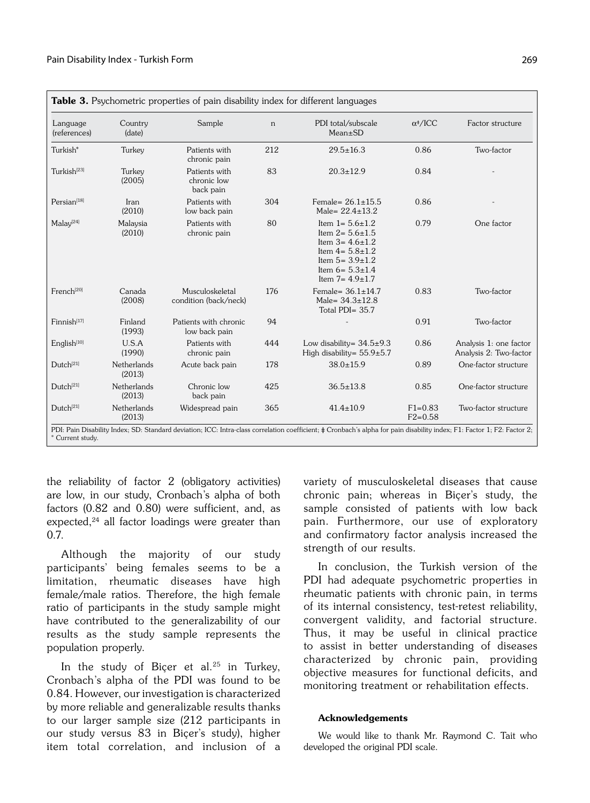| Language<br>(references) | Country<br>(date)                       | Sample                                    | $\mathsf{n}$ | PDI total/subscale<br>$Mean \pm SD$                                                                                                                                                | $\alpha^*/\text{ICC}$      | Factor structure                                 |  |
|--------------------------|-----------------------------------------|-------------------------------------------|--------------|------------------------------------------------------------------------------------------------------------------------------------------------------------------------------------|----------------------------|--------------------------------------------------|--|
| Turkish*                 | Turkey<br>Patients with<br>chronic pain |                                           | 212          | $29.5 \pm 16.3$                                                                                                                                                                    | 0.86                       | Two-factor                                       |  |
| Turkish <sup>[23]</sup>  | Turkey<br>(2005)                        | Patients with<br>chronic low<br>back pain | 83           | $20.3 \pm 12.9$                                                                                                                                                                    | 0.84                       |                                                  |  |
| Persian <sup>[18]</sup>  | Iran<br>(2010)                          | Patients with<br>low back pain            | 304          | Female= $26.1 \pm 15.5$<br>Male= $22.4 \pm 13.2$                                                                                                                                   | 0.86                       |                                                  |  |
| Malay <sup>[24]</sup>    | Malaysia<br>(2010)                      | Patients with<br>chronic pain             |              | Item $1 = 5.6 \pm 1.2$<br>Item $2 = 5.6 \pm 1.5$<br>Item $3 = 4.6 \pm 1.2$<br>Item $4 = 5.8 \pm 1.2$<br>Item $5 = 3.9 \pm 1.2$<br>Item $6 = 5.3 \pm 1.4$<br>Item $7 = 4.9 \pm 1.7$ | 0.79                       | One factor                                       |  |
| French <sup>[20]</sup>   | Canada<br>(2008)                        | Musculoskeletal<br>condition (back/neck)  | 176          | Female= $36.1 \pm 14.7$<br>Male= $34.3 \pm 12.8$<br>Total $PDI = 35.7$                                                                                                             | 0.83                       | Two-factor                                       |  |
| Finnish <sup>[17]</sup>  | Finland<br>(1993)                       | Patients with chronic<br>low back pain    | 94           |                                                                                                                                                                                    | 0.91                       | Two-factor                                       |  |
| English <sup>[10]</sup>  | U.S.A<br>(1990)                         | Patients with<br>chronic pain             | 444          | Low disability= $34.5\pm9.3$<br>High disability= $55.9 \pm 5.7$                                                                                                                    | 0.86                       | Analysis 1: one factor<br>Analysis 2: Two-factor |  |
| Dutch <sup>[21]</sup>    | Netherlands<br>(2013)                   | Acute back pain                           | 178          | $38.0 \pm 15.9$                                                                                                                                                                    | 0.89                       | One-factor structure                             |  |
| Dutch <sup>[21]</sup>    | Netherlands<br>(2013)                   | Chronic low<br>back pain                  | 425          | $36.5 \pm 13.8$                                                                                                                                                                    | 0.85                       | One-factor structure                             |  |
| Dutch <sup>[21]</sup>    | Netherlands<br>(2013)                   | Widespread pain                           | 365          | $41.4 \pm 10.9$                                                                                                                                                                    | $F1 = 0.83$<br>$F2 = 0.58$ | Two-factor structure                             |  |

the reliability of factor 2 (obligatory activities) are low, in our study, Cronbach's alpha of both factors (0.82 and 0.80) were sufficient, and, as expected,<sup>24</sup> all factor loadings were greater than 0.7.

Although the majority of our study participants' being females seems to be a limitation, rheumatic diseases have high female/male ratios. Therefore, the high female ratio of participants in the study sample might have contributed to the generalizability of our results as the study sample represents the population properly.

In the study of Biçer et al.<sup>25</sup> in Turkey, Cronbach's alpha of the PDI was found to be 0.84. However, our investigation is characterized by more reliable and generalizable results thanks to our larger sample size (212 participants in our study versus 83 in Biçer's study), higher item total correlation, and inclusion of a variety of musculoskeletal diseases that cause chronic pain; whereas in Biçer's study, the sample consisted of patients with low back pain. Furthermore, our use of exploratory and confirmatory factor analysis increased the strength of our results.

In conclusion, the Turkish version of the PDI had adequate psychometric properties in rheumatic patients with chronic pain, in terms of its internal consistency, test-retest reliability, convergent validity, and factorial structure. Thus, it may be useful in clinical practice to assist in better understanding of diseases characterized by chronic pain, providing objective measures for functional deficits, and monitoring treatment or rehabilitation effects.

#### Acknowledgements

We would like to thank Mr. Raymond C. Tait who developed the original PDI scale.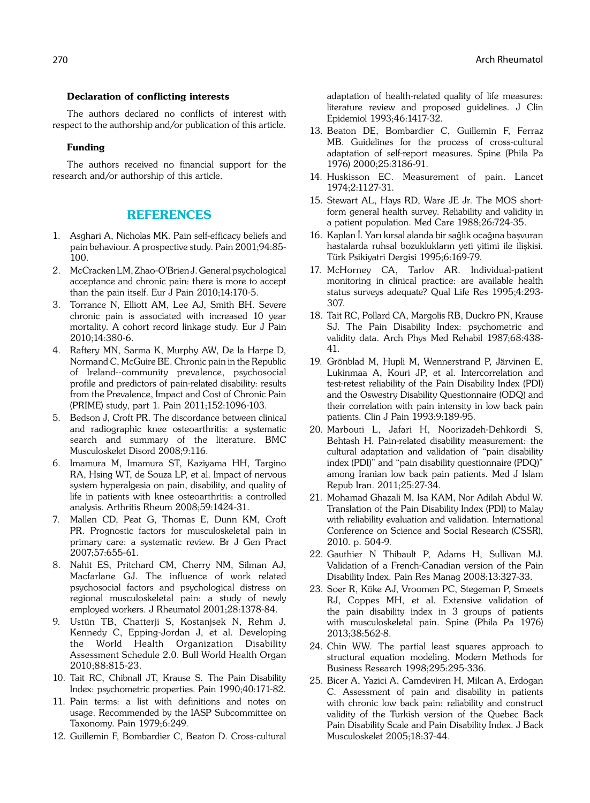#### Declaration of conflicting interests

The authors declared no conflicts of interest with respect to the authorship and/or publication of this article.

#### Funding

The authors received no financial support for the research and/or authorship of this article.

#### REFERENCES

- 1. Asghari A, Nicholas MK. Pain self-efficacy beliefs and pain behaviour. A prospective study. Pain 2001;94:85- 100.
- 2. McCracken LM, Zhao-O'Brien J. General psychological acceptance and chronic pain: there is more to accept than the pain itself. Eur J Pain 2010;14:170-5.
- 3. Torrance N, Elliott AM, Lee AJ, Smith BH. Severe chronic pain is associated with increased 10 year mortality. A cohort record linkage study. Eur J Pain 2010;14:380-6.
- 4. Raftery MN, Sarma K, Murphy AW, De la Harpe D, Normand C, McGuire BE. Chronic pain in the Republic of Ireland--community prevalence, psychosocial profile and predictors of pain-related disability: results from the Prevalence, Impact and Cost of Chronic Pain (PRIME) study, part 1. Pain 2011;152:1096-103.
- 5. Bedson J, Croft PR. The discordance between clinical and radiographic knee osteoarthritis: a systematic search and summary of the literature. BMC Musculoskelet Disord 2008;9:116.
- 6. Imamura M, Imamura ST, Kaziyama HH, Targino RA, Hsing WT, de Souza LP, et al. Impact of nervous system hyperalgesia on pain, disability, and quality of life in patients with knee osteoarthritis: a controlled analysis. Arthritis Rheum 2008;59:1424-31.
- 7. Mallen CD, Peat G, Thomas E, Dunn KM, Croft PR. Prognostic factors for musculoskeletal pain in primary care: a systematic review. Br J Gen Pract 2007;57:655-61.
- 8. Nahit ES, Pritchard CM, Cherry NM, Silman AJ, Macfarlane GJ. The influence of work related psychosocial factors and psychological distress on regional musculoskeletal pain: a study of newly employed workers. J Rheumatol 2001;28:1378-84.
- 9. Ustün TB, Chatterji S, Kostanjsek N, Rehm J, Kennedy C, Epping-Jordan J, et al. Developing the World Health Organization Disability Assessment Schedule 2.0. Bull World Health Organ 2010;88:815-23.
- 10. Tait RC, Chibnall JT, Krause S. The Pain Disability Index: psychometric properties. Pain 1990;40:171-82.
- 11. Pain terms: a list with definitions and notes on usage. Recommended by the IASP Subcommittee on Taxonomy. Pain 1979;6:249.
- 12. Guillemin F, Bombardier C, Beaton D. Cross-cultural

adaptation of health-related quality of life measures: literature review and proposed guidelines. J Clin Epidemiol 1993;46:1417-32.

- 13. Beaton DE, Bombardier C, Guillemin F, Ferraz MB. Guidelines for the process of cross-cultural adaptation of self-report measures. Spine (Phila Pa 1976) 2000;25:3186-91.
- 14. Huskisson EC. Measurement of pain. Lancet 1974;2:1127-31.
- 15. Stewart AL, Hays RD, Ware JE Jr. The MOS shortform general health survey. Reliability and validity in a patient population. Med Care 1988;26:724-35.
- 16. Kaplan İ. Yarı kırsal alanda bir sağlık ocağına başvuran hastalarda ruhsal bozuklukların yeti vitimi ile iliskisi. Türk Psikiyatri Dergisi 1995;6:169-79.
- 17. McHorney CA, Tarlov AR. Individual-patient monitoring in clinical practice: are available health status surveys adequate? Qual Life Res 1995;4:293- 307.
- 18. Tait RC, Pollard CA, Margolis RB, Duckro PN, Krause SJ. The Pain Disability Index: psychometric and validity data. Arch Phys Med Rehabil 1987;68:438- 41.
- 19. Grönblad M, Hupli M, Wennerstrand P, Järvinen E, Lukinmaa A, Kouri JP, et al. Intercorrelation and test-retest reliability of the Pain Disability Index (PDI) and the Oswestry Disability Questionnaire (ODQ) and their correlation with pain intensity in low back pain patients. Clin J Pain 1993;9:189-95.
- 20. Marbouti L, Jafari H, Noorizadeh-Dehkordi S, Behtash H. Pain-related disability measurement: the cultural adaptation and validation of "pain disability index (PDI)" and "pain disability questionnaire (PDQ)" among Iranian low back pain patients. Med J Islam Repub Iran. 2011;25:27-34.
- 21. Mohamad Ghazali M, Isa KAM, Nor Adilah Abdul W. Translation of the Pain Disability Index (PDI) to Malay with reliability evaluation and validation. International Conference on Science and Social Research (CSSR), 2010. p. 504-9.
- 22. Gauthier N Thibault P, Adams H, Sullivan MJ. Validation of a French-Canadian version of the Pain Disability Index. Pain Res Manag 2008;13:327-33.
- 23. Soer R, Köke AJ, Vroomen PC, Stegeman P, Smeets RJ, Coppes MH, et al. Extensive validation of the pain disability index in 3 groups of patients with musculoskeletal pain. Spine (Phila Pa 1976) 2013;38:562-8.
- 24. Chin WW. The partial least squares approach to structural equation modeling. Modern Methods for Business Research 1998;295:295-336.
- 25. Bicer A, Yazici A, Camdeviren H, Milcan A, Erdogan C. Assessment of pain and disability in patients with chronic low back pain: reliability and construct validity of the Turkish version of the Quebec Back Pain Disability Scale and Pain Disability Index. J Back Musculoskelet 2005;18:37-44.